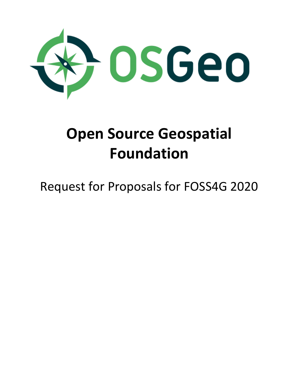

# **Open Source Geospatial Foundation**

# Request for Proposals for FOSS4G 2020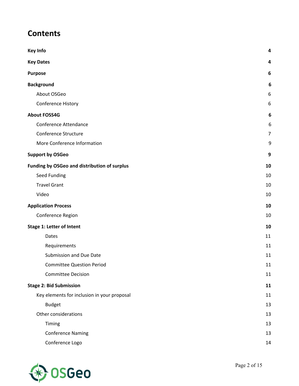# **Contents**

| <b>Key Info</b>                              | 4              |
|----------------------------------------------|----------------|
| <b>Key Dates</b>                             | 4              |
| <b>Purpose</b>                               | 6              |
| <b>Background</b>                            | 6              |
| About OSGeo                                  | 6              |
| Conference History                           | 6              |
| <b>About FOSS4G</b>                          | 6              |
| Conference Attendance                        | 6              |
| Conference Structure                         | $\overline{7}$ |
| More Conference Information                  | 9              |
| <b>Support by OSGeo</b>                      | 9              |
| Funding by OSGeo and distribution of surplus | 10             |
| Seed Funding                                 | 10             |
| <b>Travel Grant</b>                          | 10             |
| Video                                        | 10             |
| <b>Application Process</b>                   | 10             |
| Conference Region                            | 10             |
| <b>Stage 1: Letter of Intent</b>             | 10             |
| Dates                                        | 11             |
| Requirements                                 | 11             |
| Submission and Due Date                      | 11             |
| <b>Committee Question Period</b>             | $11\,$         |
| <b>Committee Decision</b>                    | 11             |
| <b>Stage 2: Bid Submission</b>               | 11             |
| Key elements for inclusion in your proposal  | 11             |
| <b>Budget</b>                                | 13             |
| Other considerations                         | 13             |
| Timing                                       | 13             |
| <b>Conference Naming</b>                     | 13             |
| Conference Logo                              | 14             |

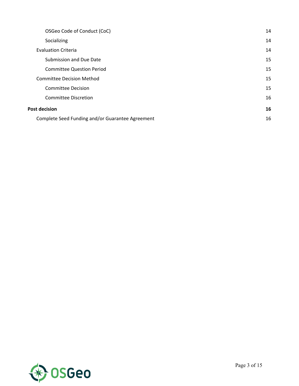| OSGeo Code of Conduct (CoC)                      | 14 |
|--------------------------------------------------|----|
| Socializing                                      | 14 |
| <b>Evaluation Criteria</b>                       | 14 |
| Submission and Due Date                          | 15 |
| <b>Committee Question Period</b>                 | 15 |
| <b>Committee Decision Method</b>                 | 15 |
| <b>Committee Decision</b>                        | 15 |
| Committee Discretion                             | 16 |
| <b>Post decision</b>                             | 16 |
| Complete Seed Funding and/or Guarantee Agreement | 16 |

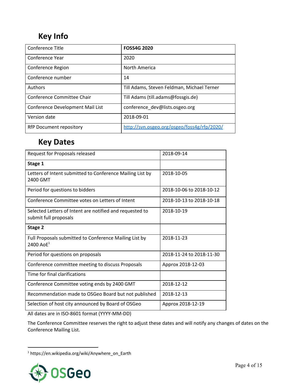# <span id="page-3-0"></span>**Key Info**

| Conference Title                 | <b>FOSS4G 2020</b>                          |
|----------------------------------|---------------------------------------------|
| Conference Year                  | 2020                                        |
| Conference Region                | North America                               |
| Conference number                | 14                                          |
| Authors                          | Till Adams, Steven Feldman, Michael Terner  |
| Conference Committee Chair       | Till Adams (till.adams@fossgis.de)          |
| Conference Development Mail List | conference dev@lists.osgeo.org              |
| Version date                     | 2018-09-01                                  |
| RfP Document repository          | http://svn.osgeo.org/osgeo/foss4g/rfp/2020/ |

# <span id="page-3-1"></span>**Key Dates**

| Request for Proposals released                                                    | 2018-09-14               |
|-----------------------------------------------------------------------------------|--------------------------|
| Stage 1                                                                           |                          |
| Letters of Intent submitted to Conference Mailing List by<br>2400 GMT             | 2018-10-05               |
| Period for questions to bidders                                                   | 2018-10-06 to 2018-10-12 |
| Conference Committee votes on Letters of Intent                                   | 2018-10-13 to 2018-10-18 |
| Selected Letters of Intent are notified and requested to<br>submit full proposals | 2018-10-19               |
| Stage 2                                                                           |                          |
| Full Proposals submitted to Conference Mailing List by<br>2400 Ao $E^1$           | 2018-11-23               |
| Period for questions on proposals                                                 | 2018-11-24 to 2018-11-30 |
| Conference committee meeting to discuss Proposals                                 | Approx 2018-12-03        |
| Time for final clarifications                                                     |                          |
| Conference Committee voting ends by 2400 GMT                                      | 2018-12-12               |
| Recommendation made to OSGeo Board but not published                              | 2018-12-13               |
| Selection of host city announced by Board of OSGeo                                | Approx 2018-12-19        |

All dates are in ISO-8601 format (YYYY-MM-DD)

The Conference Committee reserves the right to adjust these dates and will notify any changes of dates on the Conference Mailing List.

<sup>1</sup> https://en.wikipedia.org/wiki/Anywhere\_on\_Earth

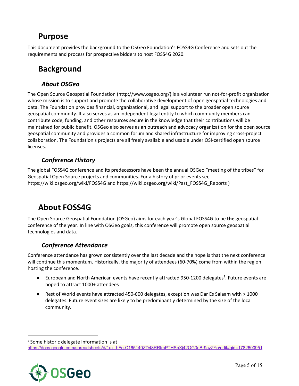# <span id="page-4-0"></span>**Purpose**

This document provides the background to the OSGeo Foundation's FOSS4G Conference and sets out the requirements and process for prospective bidders to host FOSS4G 2020.

# <span id="page-4-1"></span>**Background**

### <span id="page-4-2"></span>*About OSGeo*

The Open Source Geospatial Foundation ([http://www.osgeo.org/\)](http://www.osgeo.org/) is a volunteer run not-for-profit organization whose mission is to support and promote the collaborative development of open geospatial technologies and data. The Foundation provides financial, organizational, and legal support to the broader open source geospatial community. It also serves as an independent legal entity to which community members can contribute code, funding, and other resources secure in the knowledge that their contributions will be maintained for public benefit. OSGeo also serves as an outreach and advocacy organization for the open source geospatial community and provides a common forum and shared infrastructure for improving cross-project collaboration. The Foundation's projects are all freely available and usable under OSI-certified open source licenses.

## <span id="page-4-3"></span>*Conference History*

The global FOSS4G conference and its predecessors have been the annual OSGeo "meeting of the tribes" for Geospatial Open Source projects and communities. For a history of prior events see <https://wiki.osgeo.org/wiki/FOSS4G> and [https://wiki.osgeo.org/wiki/Past\\_FOSS4G\\_Reports](https://wiki.osgeo.org/wiki/Past_FOSS4G_Reports) )

# <span id="page-4-4"></span>**About FOSS4G**

The Open Source Geospatial Foundation (OSGeo) aims for each year's Global FOSS4G to be **the** geospatial conference of the year. In line with OSGeo goals, this conference will promote open source geospatial technologies and data.

## <span id="page-4-5"></span>*Conference Attendance*

Conference attendance has grown consistently over the last decade and the hope is that the next conference will continue this momentum. Historically, the majority of attendees (60-70%) come from within the region hosting the conference.

- $\bullet$  European and North American events have recently attracted 950-1200 delegates<sup>2</sup>. Future events are hoped to attract 1000+ attendees
- Rest of World events have attracted 450-600 delegates, exception was Dar Es Salaam with > 1000 delegates. Future event sizes are likely to be predominantly determined by the size of the local community.

[https://docs.google.com/spreadsheets/d/1ux\\_hFq-C165140ZD48RRImPTHSpXj42OG3nBr9cyZYo/edit#gid=1782600951](https://docs.google.com/spreadsheets/d/1ux_hFq-C165140ZD48RRImPTHSpXj42OG3nBr9cyZYo/edit#gid=1782600951)



<sup>2</sup> Some historic delegate information is at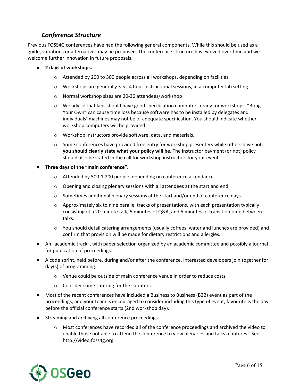### <span id="page-5-0"></span>*Conference Structure*

Previous FOSS4G conferences have had the following general components. While this should be used as a guide, variations or alternatives may be proposed. The conference structure has evolved over time and we welcome further innovation in future proposals.

- **● 2 days of workshops.**
	- o Attended by 200 to 300 people across all workshops, depending on facilities.
	- $\circ$  Workshops are generally 3.5 4 hour instructional sessions, in a computer lab setting -
	- o Normal workshop sizes are 20-30 attendees/workshop
	- o We advise that labs should have good specification computers ready for workshops. "Bring Your Own" can cause time loss because software has to be installed by delegates and individuals' machines may not be of adequate specification. You should indicate whether workshop computers will be provided.
	- o Workshop instructors provide software, data, and materials.
	- $\circ$  Some conferences have provided free entry for workshop presenters while others have not, **you should clearly state what your policy will be**. The instructor payment (or not) policy should also be stated in the call for workshop instructors for your event.
- **● Three days of the "main conference".**
	- o Attended by 500-1,200 people, depending on conference attendance.
	- $\circ$  Opening and closing plenary sessions with all attendees at the start and end.
	- $\circ$  Sometimes additional plenary sessions at the start and/or end of conference days.
	- $\circ$  Approximately six to nine parallel tracks of presentations, with each presentation typically consisting of a 20-minute talk, 5 minutes of Q&A, and 5 minutes of transition time between talks.
	- o You should detail catering arrangements (usually coffees, water and lunches are provided) and confirm that provision will be made for dietary restrictions and allergies.
- An "academic track", with paper selection organized by an academic committee and possibly a journal for publication of proceedings.
- A code sprint, held before, during and/or after the conference. Interested developers join together for day(s) of programming.
	- o Venue could be outside of main conference venue in order to reduce costs.
	- o Consider some catering for the sprinters.
- Most of the recent conferences have included a Business to Business (B2B) event as part of the proceedings, and your team is encouraged to consider including this type of event, favourite is the day before the official conference starts (2nd workshop day).
- Streaming and archiving all conference proceedings
	- o Most conferences have recorded all of the conference proceedings and archived the video to enable those not able to attend the conference to view plenaries and talks of interest. See [http://video.foss4g.org](http://video.foss4g.org/)

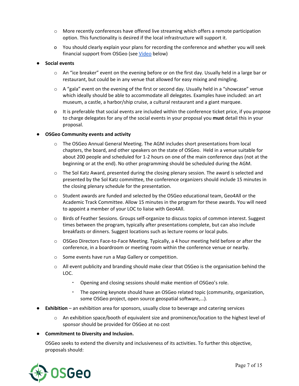- o More recently conferences have offered live streaming which offers a remote participation option. This functionality is desired if the local infrastructure will support it.
- o You should clearly explain your plans for recording the conference and whether you will seek financial support from OSGeo (see [Video](#page-8-2) below)

#### **● Social events**

- $\circ$  An "ice breaker" event on the evening before or on the first day. Usually held in a large bar or restaurant, but could be in any venue that allowed for easy mixing and mingling.
- $\circ$  A "gala" event on the evening of the first or second day. Usually held in a "showcase" venue which ideally should be able to accommodate all delegates. Examples have included: an art museum, a castle, a harbor/ship cruise, a cultural restaurant and a giant marquee.
- o It is preferable that social events are included within the conference ticket price, if you propose to charge delegates for any of the social events in your proposal you **must** detail this in your proposal.

#### **● OSGeo Community events and activity**

- o The OSGeo Annual General Meeting. The AGM includes short presentations from local chapters, the board, and other speakers on the state of OSGeo. Held in a venue suitable for about 200 people and scheduled for 1-2 hours on one of the main conference days (not at the beginning or at the end). No other programming should be scheduled during the AGM.
- o The Sol Katz Award, presented during the closing plenary session. The award is selected and presented by the Sol Katz committee, the conference organizers should include 15 minutes in the closing plenary schedule for the presentation.
- o Student awards are funded and selected by the OSGeo educational team, Geo4All or the Academic Track Committee. Allow 15 minutes in the program for these awards. You will need to appoint a member of your LOC to liaise with Geo4All.
- o Birds of Feather Sessions. Groups self-organize to discuss topics of common interest. Suggest times between the program, typically after presentations complete, but can also include breakfasts or dinners. Suggest locations such as lecture rooms or local pubs.
- o OSGeo Directors Face-to-Face Meeting. Typically, a 4 hour meeting held before or after the conference, in a boardroom or meeting room within the conference venue or nearby.
- o Some events have run a Map Gallery or competition.
- $\circ$  All event publicity and branding should make clear that OSGeo is the organisation behind the LOC.
	- Opening and closing sessions should make mention of OSGeo's role.
	- The opening keynote should have an OSGeo related topic (community, organization, some OSGeo project, open source geospatial software,...).
- **Exhibition** an exhibition area for sponsors, usually close to beverage and catering services
	- $\circ$  An exhibition space/booth of equivalent size and prominence/location to the highest level of sponsor should be provided for OSGeo at no cost
- **● Commitment to Diversity and Inclusion.**

OSGeo seeks to extend the diversity and inclusiveness of its activities. To further this objective, proposals should:

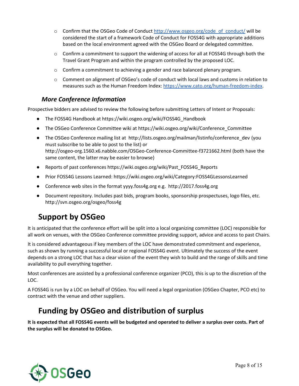- o Confirm that the OSGeo Code of Conduct [http://www.osgeo.org/code\\_of\\_conduct/](http://www.osgeo.org/code_of_conduct/) will be considered the start of a framework Code of Conduct for FOSS4G with appropriate additions based on the local environment agreed with the OSGeo Board or delegated committee.
- o Confirm a commitment to support the widening of access for all at FOSS4G through both the Travel Grant Program and within the program controlled by the proposed LOC.
- $\circ$  Confirm a commitment to achieving a gender and race balanced plenary program.
- $\circ$  Comment on alignment of OSGeo's code of conduct with local laws and customs in relation to measures such as the Human Freedom Index: [https://www.cato.org/human-freedom-index.](https://www.cato.org/human-freedom-index)

### <span id="page-7-0"></span>*More Conference Information*

Prospective bidders are advised to review the following before submitting Letters of Intent or Proposals:

- The FOSS4G Handbook at [https://wiki.osgeo.org/wiki/FOSS4G\\_Handbook](https://wiki.osgeo.org/wiki/FOSS4G_Handbook)
- The OSGeo Conference Committee wiki at [https://wiki.osgeo.org/wiki/Conference\\_Committee](https://wiki.osgeo.org/wiki/Conference_Committee)
- The OSGeo Conference mailing list at [http://lists.osgeo.org/mailman/listinfo/conference\\_dev](http://lists.osgeo.org/mailman/listinfo/conference_dev) (you must subscribe to be able to post to the list) or http://osgeo-org.1560.x6.nabble.com/OSGeo-Conference-Committee-f3721662.html (both have the same content, the latter may be easier to browse)
- Reports of past conferences [https://wiki.osgeo.org/wiki/Past\\_FOSS4G\\_Reports](https://wiki.osgeo.org/wiki/Past_FOSS4G_Reports)
- Prior FOSS4G Lessons Learned: <https://wiki.osgeo.org/wiki/Category:FOSS4GLessonsLearned>
- Conference web sites in the format yyyy.foss4g.org e.g. [http://2017.foss4g.org](http://2016.foss4g.org/)
- Document repository. Includes past bids, program books, sponsorship prospectuses, logo files, etc. <http://svn.osgeo.org/osgeo/foss4g>

# <span id="page-7-1"></span>**Support by OSGeo**

It is anticipated that the conference effort will be split into a local organizing committee (LOC) responsible for all work on venues, with the OSGeo Conference committee providing support, advice and access to past Chairs.

It is considered advantageous if key members of the LOC have demonstrated commitment and experience, such as shown by running a successful local or regional FOSS4G event. Ultimately the success of the event depends on a strong LOC that has a clear vision of the event they wish to build and the range of skills and time availability to pull everything together.

Most conferences are assisted by a professional conference organizer (PCO), this is up to the discretion of the LOC.

A FOSS4G is run by a LOC on behalf of OSGeo. You will need a legal organization (OSGeo Chapter, PCO etc) to contract with the venue and other suppliers.

# <span id="page-7-2"></span>**Funding by OSGeo and distribution of surplus**

It is expected that all FOSS4G events will be budgeted and operated to deliver a surplus over costs. Part of **the surplus will be donated to OSGeo.**

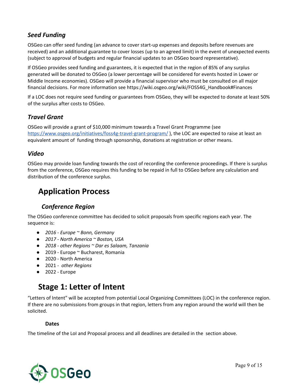### <span id="page-8-0"></span>*Seed Funding*

OSGeo can offer seed funding (an advance to cover start-up expenses and deposits before revenues are received) and an additional guarantee to cover losses (up to an agreed limit) in the event of unexpected events (subject to approval of budgets and regular financial updates to an OSGeo board representative).

If OSGeo provides seed funding and guarantees, it is expected that in the region of 85% of any surplus generated will be donated to OSGeo (a lower percentage will be considered for events hosted in Lower or Middle Income economies). OSGeo will provide a financial supervisor who must be consulted on all major financial decisions. For more information see [https://wiki.osgeo.org/wiki/FOSS4G\\_Handbook#Finances](https://wiki.osgeo.org/wiki/FOSS4G_Handbook#Finances)

If a LOC does not require seed funding or guarantees from OSGeo, they will be expected to donate at least 50% of the surplus after costs to OSGeo.

### <span id="page-8-1"></span>*Travel Grant*

OSGeo will provide a grant of \$10,000 minimum towards a Travel Grant Programme (see <https://www.osgeo.org/initiatives/foss4g-travel-grant-program/>), the LOC are expected to raise at least an equivalent amount of funding through sponsorship, donations at registration or other means.

### <span id="page-8-2"></span>*Video*

OSGeo may provide loan funding towards the cost of recording the conference proceedings. If there is surplus from the conference, OSGeo requires this funding to be repaid in full to OSGeo before any calculation and distribution of the conference surplus.

# <span id="page-8-3"></span>**Application Process**

### <span id="page-8-4"></span>*Conference Region*

The OSGeo conference committee has decided to solicit proposals from specific regions each year. The sequence is:

- *● 2016 - Europe ~ Bonn, Germany*
- *● 2017 - North America ~ Boston, USA*
- *● 2018 - other Regions ~ Dar es Salaam, Tanzania*
- 2019 Europe ~ Bucharest, Romania
- 2020 North America
- 2021 *other Regions*
- <span id="page-8-5"></span> $\bullet$  2022 - Europe

# **Stage 1: Letter of Intent**

"Letters of Intent" will be accepted from potential Local Organizing Committees (LOC) in the conference region. If there are no submissions from groups in that region, letters from any region around the world will then be solicited.

#### **Dates**

<span id="page-8-6"></span>The timeline of the LoI and Proposal process and all deadlines are detailed in the section above.

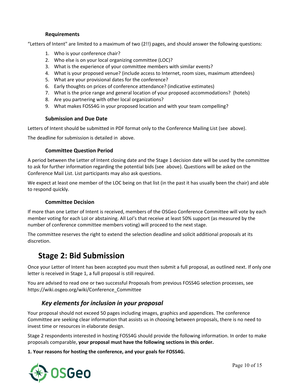#### **Requirements**

<span id="page-9-0"></span>"Letters of Intent" are limited to a maximum of two (2!!) pages, and should answer the following questions:

- 1. Who is your conference chair?
- 2. Who else is on your local organizing committee (LOC)?
- 3. What is the experience of your committee members with similar events?
- 4. What is your proposed venue? (include access to Internet, room sizes, maximum attendees)
- 5. What are your provisional dates for the conference?
- 6. Early thoughts on prices of conference attendance? (indicative estimates)
- 7. What is the price range and general location of your proposed accommodations? (hotels)
- 8. Are you partnering with other local organizations?
- 9. What makes FOSS4G in your proposed location and with your team compelling?

#### **Submission and Due Date**

<span id="page-9-1"></span>Letters of Intent should be submitted in PDF format only to the Conference Mailing List (see above).

<span id="page-9-2"></span>The deadline for submission is detailed in above.

#### **Committee Question Period**

A period between the Letter of Intent closing date and the Stage 1 decision date will be used by the committee to ask for further information regarding the potential bids (see above). Questions will be asked on the Conference Mail List. List participants may also ask questions.

We expect at least one member of the LOC being on that list (in the past it has usually been the chair) and able to respond quickly.

#### **Committee Decision**

<span id="page-9-3"></span>If more than one Letter of Intent is received, members of the OSGeo Conference Committee will vote by each member voting for each LoI or abstaining. All LoI's that receive at least 50% support (as measured by the number of conference committee members voting) will proceed to the next stage.

The committee reserves the right to extend the selection deadline and solicit additional proposals at its discretion.

# <span id="page-9-4"></span>**Stage 2: Bid Submission**

Once your Letter of Intent has been accepted you must then submit a full proposal, as outlined next. If only one letter is received in Stage 1, a full proposal is still required.

You are advised to read one or two successful Proposals from previous FOSS4G selection processes, see [https://wiki.osgeo.org/wiki/Conference\\_Committee](https://wiki.osgeo.org/wiki/Conference_Committee)

### <span id="page-9-5"></span>*Key elements for inclusion in your proposal*

Your proposal should not exceed 50 pages including images, graphics and appendices. The conference Committee are seeking clear information that assists us in choosing between proposals, there is no need to invest time or resources in elaborate design.

Stage 2 respondents interested in hosting FOSS4G should provide the following information. In order to make proposals comparable, **your proposal must have the following sections in this order.**

**1. Your reasons for hosting the conference, and your goals for FOSS4G.**

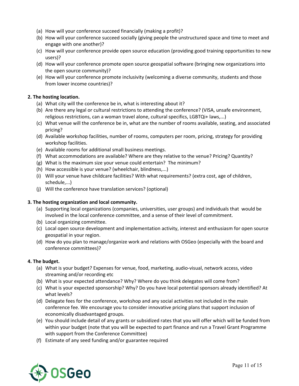- (a) How will your conference succeed financially (making a profit)?
- (b) How will your conference succeed socially (giving people the unstructured space and time to meet and engage with one another)?
- (c) How will your conference provide open source education (providing good training opportunities to new users)?
- (d) How will your conference promote open source geospatial software (bringing new organizations into the open source community)?
- (e) How will your conference promote inclusivity (welcoming a diverse community, students and those from lower income countries)?

#### **2. The hosting location.**

- (a) What city will the conference be in, what is interesting about it?
- (b) Are there any legal or cultural restrictions to attending the conference? (VISA, unsafe environment, religious restrictions, can a woman travel alone, cultural specifics, LGBTQi+ laws,...)
- (c) What venue will the conference be in, what are the number of rooms available, seating, and associated pricing?
- (d) Available workshop facilities, number of rooms, computers per room, pricing, strategy for providing workshop facilities.
- (e) Available rooms for additional small business meetings.
- (f) What accommodations are available? Where are they relative to the venue? Pricing? Quantity?
- (g) What is the maximum size your venue could entertain? The minimum?
- (h) How accessible is your venue? (wheelchair, blindness,...)
- (i) Will your venue have childcare facilities? With what requirements? (extra cost, age of children, schedule,...)
- (j) Will the conference have translation services? (optional)

#### **3. The hosting organization and local community.**

- (a) Supporting local organizations (companies, universities, user groups) and individuals that would be involved in the local conference committee, and a sense of their level of commitment.
- (b) Local organizing committee.
- (c) Local open source development and implementation activity, interest and enthusiasm for open source geospatial in your region.
- (d) How do you plan to manage/organize work and relations with OSGeo (especially with the board and conference committees)?

#### **4. The budget.**

- (a) What is your budget? Expenses for venue, food, marketing, audio-visual, network access, video streaming and/or recording etc
- (b) What is your expected attendance? Why? Where do you think delegates will come from?
- (c) What is your expected sponsorship? Why? Do you have local potential sponsors already identified? At what levels?
- (d) Delegate fees for the conference, workshop and any social activities not included in the main conference fee. We encourage you to consider innovative pricing plans that support inclusion of economically disadvantaged groups.
- (e) You should include detail of any grants or subsidized rates that you will offer which will be funded from within your budget (note that you will be expected to part finance and run a Travel Grant Programme with support from the Conference Committee)
- (f) Estimate of any seed funding and/or guarantee required

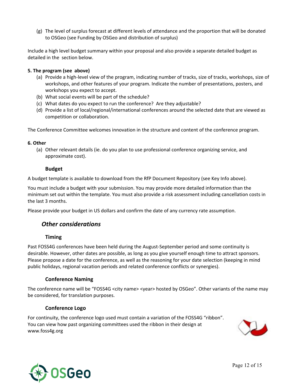(g) The level of surplus forecast at different levels of attendance and the proportion that will be donated to OSGeo (see Funding by OSGeo and distribution of surplus)

Include a high level budget summary within your proposal and also provide a separate detailed budget as detailed in the section below.

#### **5. The program (see above)**

- (a) Provide a high-level view of the program, indicating number of tracks, size of tracks, workshops, size of workshops, and other features of your program. Indicate the number of presentations, posters, and workshops you expect to accept.
- (b) What social events will be part of the schedule?
- (c) What dates do you expect to run the conference? Are they adjustable?
- (d) Provide a list of local/regional/international conferences around the selected date that are viewed as competition or collaboration.

The Conference Committee welcomes innovation in the structure and content of the conference program.

#### **6. Other**

<span id="page-11-0"></span>(a) Other relevant details (ie. do you plan to use professional conference organizing service, and approximate cost).

#### **Budget**

A budget template is available to download from the RfP Document Repository (see Key Info above).

You must include a budget with your submission. You may provide more detailed information than the minimum set out within the template. You must also provide a risk assessment including cancellation costs in the last 3 months.

<span id="page-11-1"></span>Please provide your budget in US dollars and confirm the date of any currency rate assumption.

### *Other considerations*

#### **Timing**

<span id="page-11-2"></span>Past FOSS4G conferences have been held during the August-September period and some continuity is desirable. However, other dates are possible, as long as you give yourself enough time to attract sponsors. Please propose a date for the conference, as well as the reasoning for your date selection (keeping in mind public holidays, regional vacation periods and related conference conflicts or synergies).

#### **Conference Naming**

<span id="page-11-3"></span>The conference name will be "FOSS4G <city name> <year> hosted by OSGeo". Other variants of the name may be considered, for translation purposes.

#### **Conference Logo**

<span id="page-11-4"></span>For continuity, the conference logo used must contain a variation of the FOSS4G "ribbon". You can view how past organizing committees used the ribbon in their design at www.foss4g.org



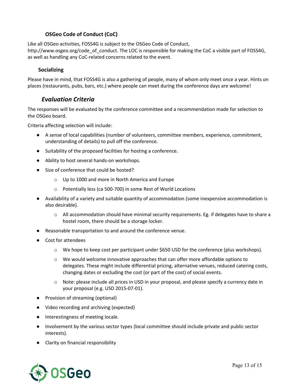#### **OSGeo Code of Conduct (CoC)**

<span id="page-12-0"></span>Like all OSGeo activities, FOSS4G is subject to the OSGeo Code of Conduct, [http://www.osgeo.org/code\\_of\\_conduct.](http://www.osgeo.org/code_of_conduct) The LOC is responsible for making the CoC a visible part of FOSS4G, as well as handling any CoC-related concerns related to the event.

#### <span id="page-12-1"></span>**Socializing**

Please have in mind, that FOSS4G is also a gathering of people, many of whom only meet once a year. Hints on places (restaurants, pubs, bars, etc.) where people can meet during the conference days are welcome!

### <span id="page-12-2"></span>*Evaluation Criteria*

The responses will be evaluated by the conference committee and a recommendation made for selection to the OSGeo board.

Criteria affecting selection will include:

- A sense of local capabilities (number of volunteers, committee members, experience, commitment, understanding of details) to pull off the conference.
- Suitability of the proposed facilities for hosting a conference.
- Ability to host several hands-on workshops.
- Size of conference that could be hosted?
	- o Up to 1000 and more in North America and Europe
	- o Potentially less (ca 500-700) in some Rest of World Locations
- Availability of a variety and suitable quantity of accommodation (some inexpensive accommodation is also desirable).
	- $\circ$  All accommodation should have minimal security requirements. Eg. if delegates have to share a hostel room, there should be a storage locker.
- Reasonable transportation to and around the conference venue.
- Cost for attendees
	- $\circ$  We hope to keep cost per participant under \$650 USD for the conference (plus workshops).
	- $\circ$  We would welcome innovative approaches that can offer more affordable options to delegates. These might include differential pricing, alternative venues, reduced catering costs, changing dates or excluding the cost (or part of the cost) of social events.
	- o Note: please include all prices in USD in your proposal, and please specify a currency date in your proposal (e.g. USD 2015-07-01).
- Provision of streaming (optional)
- Video recording and archiving (expected)
- Interestingness of meeting locale.
- Involvement by the various sector types (local committee should include private and public sector interests).
- Clarity on financial responsibility

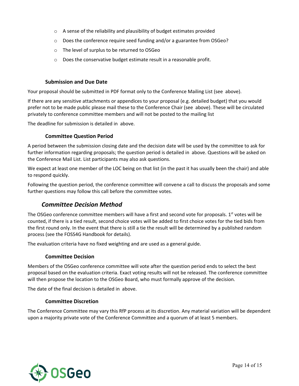- o A sense of the reliability and plausibility of budget estimates provided
- o Does the conference require seed funding and/or a guarantee from OSGeo?
- o The level of surplus to be returned to OSGeo
- o Does the conservative budget estimate result in a reasonable profit.

#### **Submission and Due Date**

<span id="page-13-0"></span>Your proposal should be submitted in PDF format only to the Conference Mailing List (see above).

If there are any sensitive attachments or appendices to your proposal (e.g. detailed budget) that you would prefer not to be made public please mail these to the Conference Chair (see above). These will be circulated privately to conference committee members and will not be posted to the mailing list

<span id="page-13-1"></span>The deadline for submission is detailed in above.

#### **Committee Question Period**

A period between the submission closing date and the decision date will be used by the committee to ask for further information regarding proposals; the question period is detailed in above. Questions will be asked on the Conference Mail List. List participants may also ask questions.

We expect at least one member of the LOC being on that list (in the past it has usually been the chair) and able to respond quickly.

Following the question period, the conference committee will convene a call to discuss the proposals and some further questions may follow this call before the committee votes.

### <span id="page-13-2"></span>*Committee Decision Method*

The OSGeo conference committee members will have a first and second vote for proposals. 1<sup>st</sup> votes will be counted, if there is a tied result, second choice votes will be added to first choice votes for the tied bids from the first round only. In the event that there is still a tie the result will be determined by a published random process (see the FOSS4G Handbook for details).

<span id="page-13-3"></span>The evaluation criteria have no fixed weighting and are used as a general guide.

#### **Committee Decision**

Members of the OSGeo conference committee will vote after the question period ends to select the best proposal based on the evaluation criteria. Exact voting results will not be released. The conference committee will then propose the location to the OSGeo Board, who must formally approve of the decision.

<span id="page-13-4"></span>The date of the final decision is detailed in above.

#### **Committee Discretion**

The Conference Committee may vary this RfP process at its discretion. Any material variation will be dependent upon a majority private vote of the Conference Committee and a quorum of at least 5 members.